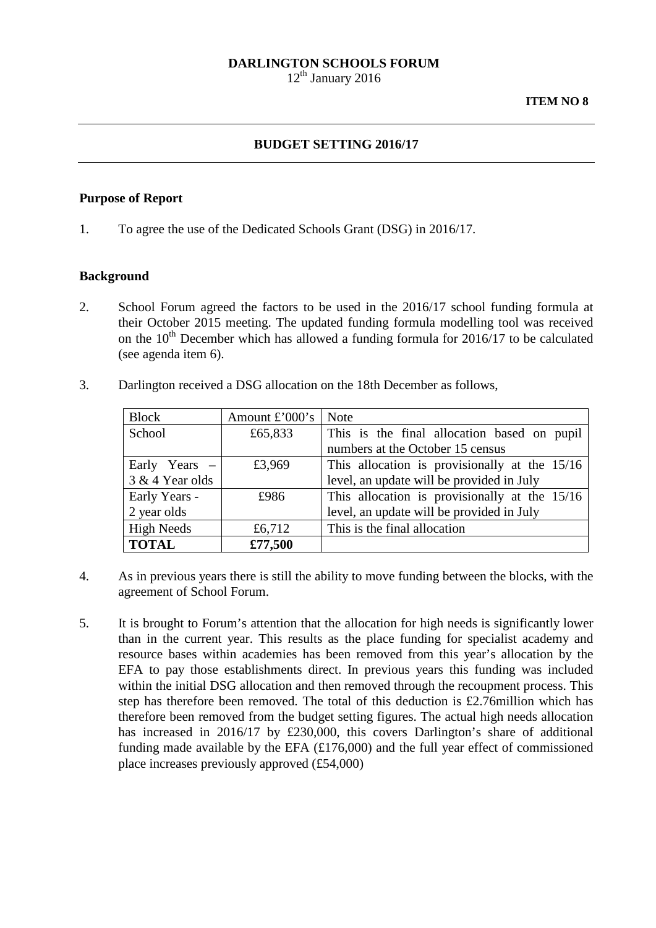### **DARLINGTON SCHOOLS FORUM**

 $12<sup>th</sup>$  January 2016

### **BUDGET SETTING 2016/17**

#### **Purpose of Report**

1. To agree the use of the Dedicated Schools Grant (DSG) in 2016/17.

### **Background**

- 2. School Forum agreed the factors to be used in the 2016/17 school funding formula at their October 2015 meeting. The updated funding formula modelling tool was received on the  $10^{th}$  December which has allowed a funding formula for 2016/17 to be calculated (see agenda item 6).
- 3. Darlington received a DSG allocation on the 18th December as follows,

| <b>Block</b>      | Amount $\pounds$ '000's | <b>Note</b>                                   |  |
|-------------------|-------------------------|-----------------------------------------------|--|
| School            | £65,833                 | This is the final allocation based on pupil   |  |
|                   |                         | numbers at the October 15 census              |  |
| Early Years $-$   | £3,969                  | This allocation is provisionally at the 15/16 |  |
| 3 & 4 Year olds   |                         | level, an update will be provided in July     |  |
| Early Years -     | £986                    | This allocation is provisionally at the 15/16 |  |
| 2 year olds       |                         | level, an update will be provided in July     |  |
| <b>High Needs</b> | £6,712                  | This is the final allocation                  |  |
| <b>TOTAL</b>      | £77,500                 |                                               |  |

- 4. As in previous years there is still the ability to move funding between the blocks, with the agreement of School Forum.
- 5. It is brought to Forum's attention that the allocation for high needs is significantly lower than in the current year. This results as the place funding for specialist academy and resource bases within academies has been removed from this year's allocation by the EFA to pay those establishments direct. In previous years this funding was included within the initial DSG allocation and then removed through the recoupment process. This step has therefore been removed. The total of this deduction is £2.76million which has therefore been removed from the budget setting figures. The actual high needs allocation has increased in 2016/17 by £230,000, this covers Darlington's share of additional funding made available by the EFA (£176,000) and the full year effect of commissioned place increases previously approved (£54,000)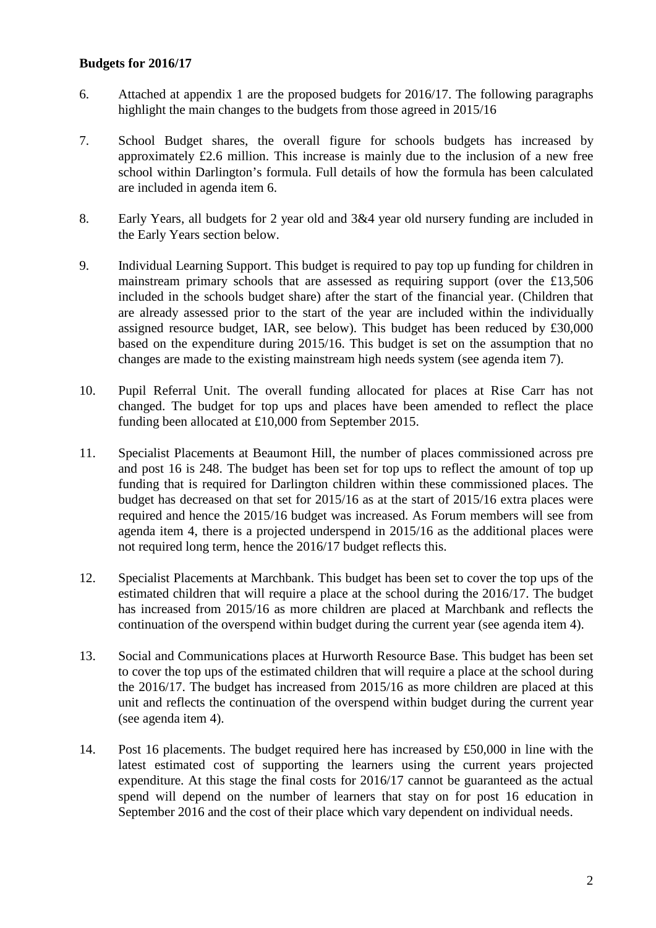## **Budgets for 2016/17**

- 6. Attached at appendix 1 are the proposed budgets for 2016/17. The following paragraphs highlight the main changes to the budgets from those agreed in 2015/16
- 7. School Budget shares, the overall figure for schools budgets has increased by approximately £2.6 million. This increase is mainly due to the inclusion of a new free school within Darlington's formula. Full details of how the formula has been calculated are included in agenda item 6.
- 8. Early Years, all budgets for 2 year old and 3&4 year old nursery funding are included in the Early Years section below.
- 9. Individual Learning Support. This budget is required to pay top up funding for children in mainstream primary schools that are assessed as requiring support (over the £13,506 included in the schools budget share) after the start of the financial year. (Children that are already assessed prior to the start of the year are included within the individually assigned resource budget, IAR, see below). This budget has been reduced by £30,000 based on the expenditure during 2015/16. This budget is set on the assumption that no changes are made to the existing mainstream high needs system (see agenda item 7).
- 10. Pupil Referral Unit. The overall funding allocated for places at Rise Carr has not changed. The budget for top ups and places have been amended to reflect the place funding been allocated at £10,000 from September 2015.
- 11. Specialist Placements at Beaumont Hill, the number of places commissioned across pre and post 16 is 248. The budget has been set for top ups to reflect the amount of top up funding that is required for Darlington children within these commissioned places. The budget has decreased on that set for 2015/16 as at the start of 2015/16 extra places were required and hence the 2015/16 budget was increased. As Forum members will see from agenda item 4, there is a projected underspend in 2015/16 as the additional places were not required long term, hence the 2016/17 budget reflects this.
- 12. Specialist Placements at Marchbank. This budget has been set to cover the top ups of the estimated children that will require a place at the school during the 2016/17. The budget has increased from 2015/16 as more children are placed at Marchbank and reflects the continuation of the overspend within budget during the current year (see agenda item 4).
- 13. Social and Communications places at Hurworth Resource Base. This budget has been set to cover the top ups of the estimated children that will require a place at the school during the 2016/17. The budget has increased from 2015/16 as more children are placed at this unit and reflects the continuation of the overspend within budget during the current year (see agenda item 4).
- 14. Post 16 placements. The budget required here has increased by £50,000 in line with the latest estimated cost of supporting the learners using the current years projected expenditure. At this stage the final costs for 2016/17 cannot be guaranteed as the actual spend will depend on the number of learners that stay on for post 16 education in September 2016 and the cost of their place which vary dependent on individual needs.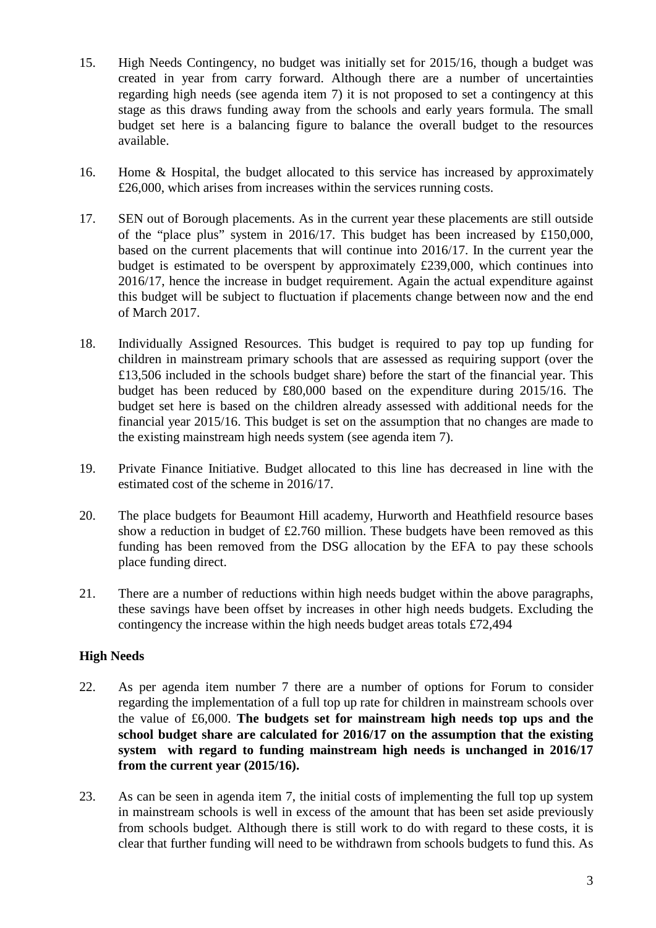- 15. High Needs Contingency, no budget was initially set for 2015/16, though a budget was created in year from carry forward. Although there are a number of uncertainties regarding high needs (see agenda item 7) it is not proposed to set a contingency at this stage as this draws funding away from the schools and early years formula. The small budget set here is a balancing figure to balance the overall budget to the resources available.
- 16. Home & Hospital, the budget allocated to this service has increased by approximately £26,000, which arises from increases within the services running costs.
- 17. SEN out of Borough placements. As in the current year these placements are still outside of the "place plus" system in 2016/17. This budget has been increased by £150,000, based on the current placements that will continue into 2016/17. In the current year the budget is estimated to be overspent by approximately £239,000, which continues into 2016/17, hence the increase in budget requirement. Again the actual expenditure against this budget will be subject to fluctuation if placements change between now and the end of March 2017.
- 18. Individually Assigned Resources. This budget is required to pay top up funding for children in mainstream primary schools that are assessed as requiring support (over the £13,506 included in the schools budget share) before the start of the financial year. This budget has been reduced by £80,000 based on the expenditure during 2015/16. The budget set here is based on the children already assessed with additional needs for the financial year 2015/16. This budget is set on the assumption that no changes are made to the existing mainstream high needs system (see agenda item 7).
- 19. Private Finance Initiative. Budget allocated to this line has decreased in line with the estimated cost of the scheme in 2016/17.
- 20. The place budgets for Beaumont Hill academy, Hurworth and Heathfield resource bases show a reduction in budget of £2.760 million. These budgets have been removed as this funding has been removed from the DSG allocation by the EFA to pay these schools place funding direct.
- 21. There are a number of reductions within high needs budget within the above paragraphs, these savings have been offset by increases in other high needs budgets. Excluding the contingency the increase within the high needs budget areas totals £72,494

# **High Needs**

- 22. As per agenda item number 7 there are a number of options for Forum to consider regarding the implementation of a full top up rate for children in mainstream schools over the value of £6,000. **The budgets set for mainstream high needs top ups and the school budget share are calculated for 2016/17 on the assumption that the existing system with regard to funding mainstream high needs is unchanged in 2016/17 from the current year (2015/16).**
- 23. As can be seen in agenda item 7, the initial costs of implementing the full top up system in mainstream schools is well in excess of the amount that has been set aside previously from schools budget. Although there is still work to do with regard to these costs, it is clear that further funding will need to be withdrawn from schools budgets to fund this. As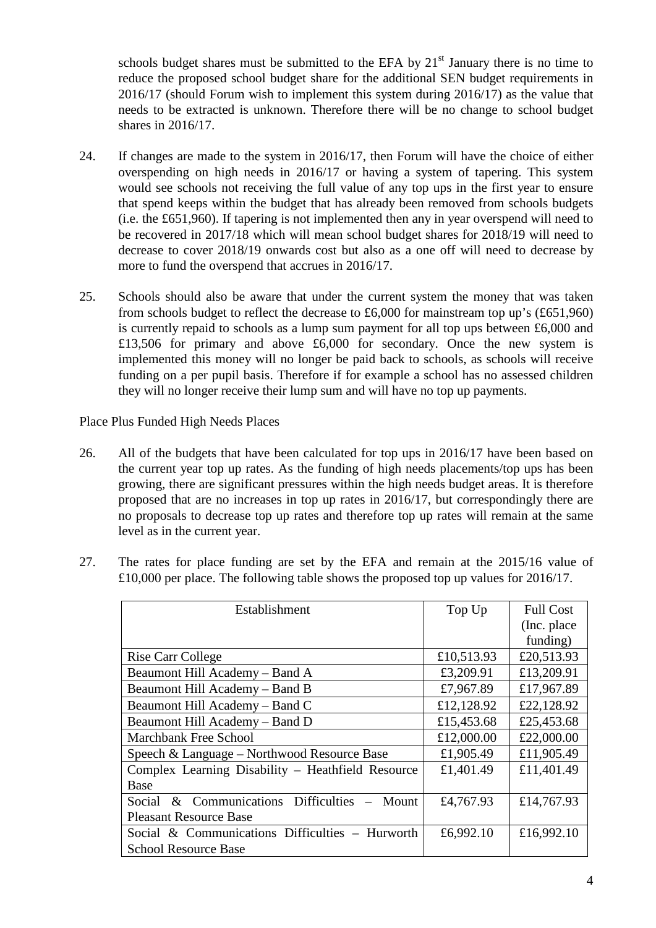schools budget shares must be submitted to the EFA by  $21<sup>st</sup>$  January there is no time to reduce the proposed school budget share for the additional SEN budget requirements in 2016/17 (should Forum wish to implement this system during 2016/17) as the value that needs to be extracted is unknown. Therefore there will be no change to school budget shares in 2016/17.

- 24. If changes are made to the system in 2016/17, then Forum will have the choice of either overspending on high needs in 2016/17 or having a system of tapering. This system would see schools not receiving the full value of any top ups in the first year to ensure that spend keeps within the budget that has already been removed from schools budgets (i.e. the £651,960). If tapering is not implemented then any in year overspend will need to be recovered in 2017/18 which will mean school budget shares for 2018/19 will need to decrease to cover 2018/19 onwards cost but also as a one off will need to decrease by more to fund the overspend that accrues in 2016/17.
- 25. Schools should also be aware that under the current system the money that was taken from schools budget to reflect the decrease to £6,000 for mainstream top up's (£651,960) is currently repaid to schools as a lump sum payment for all top ups between £6,000 and £13,506 for primary and above £6,000 for secondary. Once the new system is implemented this money will no longer be paid back to schools, as schools will receive funding on a per pupil basis. Therefore if for example a school has no assessed children they will no longer receive their lump sum and will have no top up payments.

Place Plus Funded High Needs Places

- 26. All of the budgets that have been calculated for top ups in 2016/17 have been based on the current year top up rates. As the funding of high needs placements/top ups has been growing, there are significant pressures within the high needs budget areas. It is therefore proposed that are no increases in top up rates in 2016/17, but correspondingly there are no proposals to decrease top up rates and therefore top up rates will remain at the same level as in the current year.
- 27. The rates for place funding are set by the EFA and remain at the 2015/16 value of £10,000 per place. The following table shows the proposed top up values for 2016/17.

| Establishment                                        | Top Up     | <b>Full Cost</b> |
|------------------------------------------------------|------------|------------------|
|                                                      |            | (Inc. place)     |
|                                                      |            | funding)         |
| <b>Rise Carr College</b>                             | £10,513.93 | £20,513.93       |
| Beaumont Hill Academy – Band A                       | £3,209.91  | £13,209.91       |
| Beaumont Hill Academy – Band B                       | £7,967.89  | £17,967.89       |
| Beaumont Hill Academy – Band C                       | £12,128.92 | £22,128.92       |
| Beaumont Hill Academy – Band D                       | £15,453.68 | £25,453.68       |
| <b>Marchbank Free School</b>                         | £12,000.00 | £22,000.00       |
| Speech & Language – Northwood Resource Base          | £1,905.49  | £11,905.49       |
| Complex Learning Disability - Heathfield Resource    | £1,401.49  | £11,401.49       |
| Base                                                 |            |                  |
| & Communications Difficulties<br>Social<br>$-$ Mount | £4,767.93  | £14,767.93       |
| <b>Pleasant Resource Base</b>                        |            |                  |
| Social & Communications Difficulties - Hurworth      | £6,992.10  | £16,992.10       |
| <b>School Resource Base</b>                          |            |                  |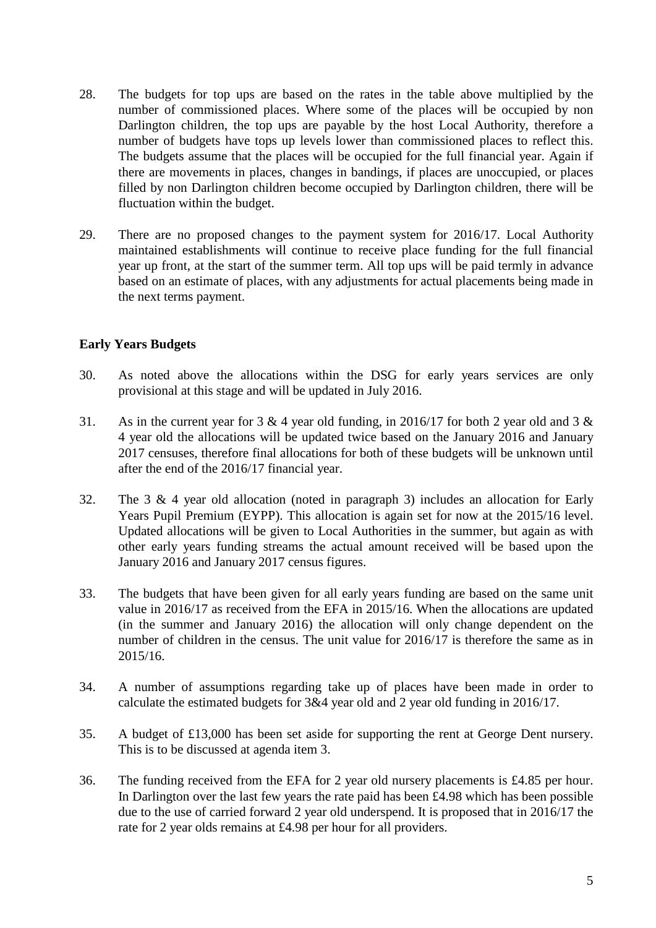- 28. The budgets for top ups are based on the rates in the table above multiplied by the number of commissioned places. Where some of the places will be occupied by non Darlington children, the top ups are payable by the host Local Authority, therefore a number of budgets have tops up levels lower than commissioned places to reflect this. The budgets assume that the places will be occupied for the full financial year. Again if there are movements in places, changes in bandings, if places are unoccupied, or places filled by non Darlington children become occupied by Darlington children, there will be fluctuation within the budget.
- 29. There are no proposed changes to the payment system for 2016/17. Local Authority maintained establishments will continue to receive place funding for the full financial year up front, at the start of the summer term. All top ups will be paid termly in advance based on an estimate of places, with any adjustments for actual placements being made in the next terms payment.

# **Early Years Budgets**

- 30. As noted above the allocations within the DSG for early years services are only provisional at this stage and will be updated in July 2016.
- 31. As in the current year for 3 & 4 year old funding, in 2016/17 for both 2 year old and 3 & 4 year old the allocations will be updated twice based on the January 2016 and January 2017 censuses, therefore final allocations for both of these budgets will be unknown until after the end of the 2016/17 financial year.
- 32. The 3 & 4 year old allocation (noted in paragraph 3) includes an allocation for Early Years Pupil Premium (EYPP). This allocation is again set for now at the 2015/16 level. Updated allocations will be given to Local Authorities in the summer, but again as with other early years funding streams the actual amount received will be based upon the January 2016 and January 2017 census figures.
- 33. The budgets that have been given for all early years funding are based on the same unit value in 2016/17 as received from the EFA in 2015/16. When the allocations are updated (in the summer and January 2016) the allocation will only change dependent on the number of children in the census. The unit value for 2016/17 is therefore the same as in 2015/16.
- 34. A number of assumptions regarding take up of places have been made in order to calculate the estimated budgets for 3&4 year old and 2 year old funding in 2016/17.
- 35. A budget of £13,000 has been set aside for supporting the rent at George Dent nursery. This is to be discussed at agenda item 3.
- 36. The funding received from the EFA for 2 year old nursery placements is £4.85 per hour. In Darlington over the last few years the rate paid has been £4.98 which has been possible due to the use of carried forward 2 year old underspend. It is proposed that in 2016/17 the rate for 2 year olds remains at £4.98 per hour for all providers.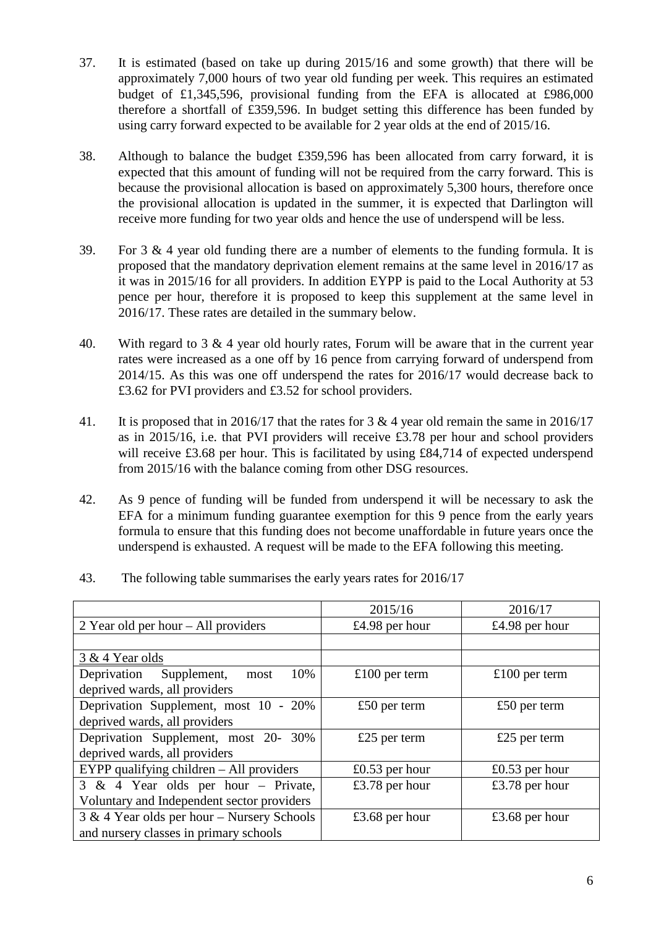- 37. It is estimated (based on take up during 2015/16 and some growth) that there will be approximately 7,000 hours of two year old funding per week. This requires an estimated budget of £1,345,596, provisional funding from the EFA is allocated at £986,000 therefore a shortfall of £359,596. In budget setting this difference has been funded by using carry forward expected to be available for 2 year olds at the end of 2015/16.
- 38. Although to balance the budget £359,596 has been allocated from carry forward, it is expected that this amount of funding will not be required from the carry forward. This is because the provisional allocation is based on approximately 5,300 hours, therefore once the provisional allocation is updated in the summer, it is expected that Darlington will receive more funding for two year olds and hence the use of underspend will be less.
- 39. For 3 & 4 year old funding there are a number of elements to the funding formula. It is proposed that the mandatory deprivation element remains at the same level in 2016/17 as it was in 2015/16 for all providers. In addition EYPP is paid to the Local Authority at 53 pence per hour, therefore it is proposed to keep this supplement at the same level in 2016/17. These rates are detailed in the summary below.
- 40. With regard to 3 & 4 year old hourly rates, Forum will be aware that in the current year rates were increased as a one off by 16 pence from carrying forward of underspend from 2014/15. As this was one off underspend the rates for 2016/17 would decrease back to £3.62 for PVI providers and £3.52 for school providers.
- 41. It is proposed that in 2016/17 that the rates for 3 & 4 year old remain the same in 2016/17 as in 2015/16, i.e. that PVI providers will receive £3.78 per hour and school providers will receive £3.68 per hour. This is facilitated by using £84,714 of expected underspend from 2015/16 with the balance coming from other DSG resources.
- 42. As 9 pence of funding will be funded from underspend it will be necessary to ask the EFA for a minimum funding guarantee exemption for this 9 pence from the early years formula to ensure that this funding does not become unaffordable in future years once the underspend is exhausted. A request will be made to the EFA following this meeting.

| 43. |  | The following table summarises the early years rates for 2016/17 |
|-----|--|------------------------------------------------------------------|
|     |  |                                                                  |

|                                              | 2015/16        | 2016/17          |
|----------------------------------------------|----------------|------------------|
| 2 Year old per hour $-$ All providers        | £4.98 per hour | £4.98 per hour   |
|                                              |                |                  |
| 3 & 4 Year olds                              |                |                  |
| 10%<br>Deprivation Supplement,<br>most       | £100 per term  | £100 per term    |
| deprived wards, all providers                |                |                  |
| Deprivation Supplement, most 10 - 20%        | £50 per term   | £50 per term     |
| deprived wards, all providers                |                |                  |
| Deprivation Supplement, most 20- 30%         | £25 per term   | £25 per term     |
| deprived wards, all providers                |                |                  |
| EYPP qualifying children $-$ All providers   | £0.53 per hour | $£0.53$ per hour |
| 3 & 4 Year olds per hour - Private,          | £3.78 per hour | £3.78 per hour   |
| Voluntary and Independent sector providers   |                |                  |
| $3 & 4$ Year olds per hour – Nursery Schools | £3.68 per hour | £3.68 per hour   |
| and nursery classes in primary schools       |                |                  |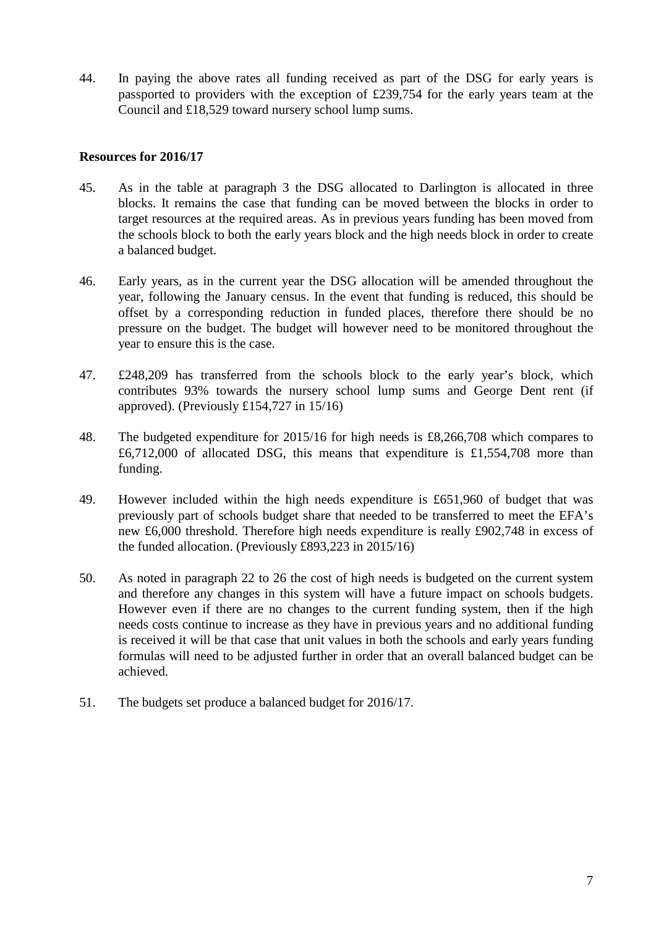44. In paying the above rates all funding received as part of the DSG for early years is passported to providers with the exception of £239,754 for the early years team at the Council and £18,529 toward nursery school lump sums.

## **Resources for 2016/17**

- 45. As in the table at paragraph 3 the DSG allocated to Darlington is allocated in three blocks. It remains the case that funding can be moved between the blocks in order to target resources at the required areas. As in previous years funding has been moved from the schools block to both the early years block and the high needs block in order to create a balanced budget.
- 46. Early years, as in the current year the DSG allocation will be amended throughout the year, following the January census. In the event that funding is reduced, this should be offset by a corresponding reduction in funded places, therefore there should be no pressure on the budget. The budget will however need to be monitored throughout the year to ensure this is the case.
- 47. £248,209 has transferred from the schools block to the early year's block, which contributes 93% towards the nursery school lump sums and George Dent rent (if approved). (Previously £154,727 in 15/16)
- 48. The budgeted expenditure for 2015/16 for high needs is £8,266,708 which compares to £6,712,000 of allocated DSG, this means that expenditure is £1,554,708 more than funding.
- 49. However included within the high needs expenditure is £651,960 of budget that was previously part of schools budget share that needed to be transferred to meet the EFA's new £6,000 threshold. Therefore high needs expenditure is really £902,748 in excess of the funded allocation. (Previously £893,223 in 2015/16)
- 50. As noted in paragraph 22 to 26 the cost of high needs is budgeted on the current system and therefore any changes in this system will have a future impact on schools budgets. However even if there are no changes to the current funding system, then if the high needs costs continue to increase as they have in previous years and no additional funding is received it will be that case that unit values in both the schools and early years funding formulas will need to be adjusted further in order that an overall balanced budget can be achieved.
- 51. The budgets set produce a balanced budget for 2016/17.